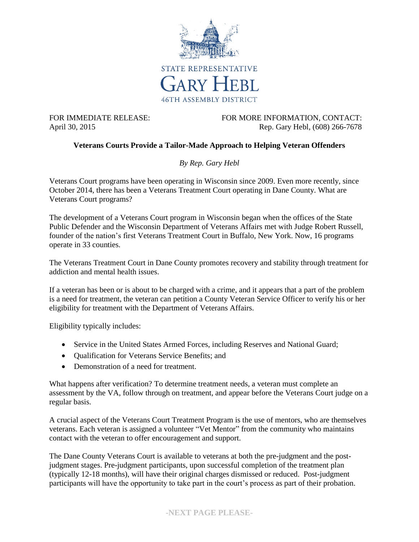

FOR IMMEDIATE RELEASE: FOR MORE INFORMATION, CONTACT: April 30, 2015 **Rep. Gary Hebl, (608)** 266-7678

## **Veterans Courts Provide a Tailor-Made Approach to Helping Veteran Offenders**

*By Rep. Gary Hebl*

Veterans Court programs have been operating in Wisconsin since 2009. Even more recently, since October 2014, there has been a Veterans Treatment Court operating in Dane County. What are Veterans Court programs?

The development of a Veterans Court program in Wisconsin began when the offices of the State Public Defender and the Wisconsin Department of Veterans Affairs met with Judge Robert Russell, founder of the nation's first Veterans Treatment Court in Buffalo, New York. Now, 16 programs operate in 33 counties.

The Veterans Treatment Court in Dane County promotes recovery and stability through treatment for addiction and mental health issues.

If a veteran has been or is about to be charged with a crime, and it appears that a part of the problem is a need for treatment, the veteran can petition a County Veteran Service Officer to verify his or her eligibility for treatment with the Department of Veterans Affairs.

Eligibility typically includes:

- Service in the United States Armed Forces, including Reserves and National Guard;
- Qualification for Veterans Service Benefits; and
- Demonstration of a need for treatment.

What happens after verification? To determine treatment needs, a veteran must complete an assessment by the VA, follow through on treatment, and appear before the Veterans Court judge on a regular basis.

A crucial aspect of the Veterans Court Treatment Program is the use of mentors, who are themselves veterans. Each veteran is assigned a volunteer "Vet Mentor" from the community who maintains contact with the veteran to offer encouragement and support.

The Dane County Veterans Court is available to veterans at both the pre-judgment and the postjudgment stages. Pre-judgment participants, upon successful completion of the treatment plan (typically 12-18 months), will have their original charges dismissed or reduced. Post-judgment participants will have the opportunity to take part in the court's process as part of their probation.

## **-NEXT PAGE PLEASE-**